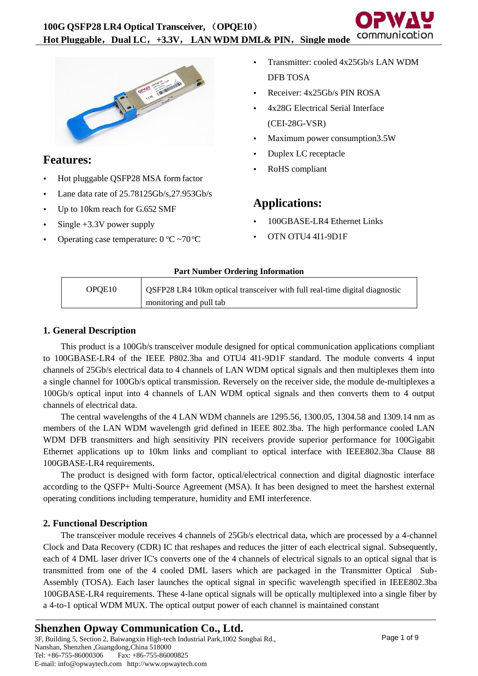

# **Features:**

- Hot pluggable QSFP28 MSA form factor
- Lane data rate of 25.78125Gb/s,27.953Gb/s
- Up to 10km reach for G.652 SMF
- Single +3.3V power supply
- Operating case temperature:  $0 °C \sim 70 °C$
- Transmitter: cooled 4x25Gb/s LAN WDM DFB TOSA
- Receiver: 4x25Gb/s PIN ROSA
- 4x28G Electrical Serial Interface (CEI-28G-VSR)
- Maximum power consumption3.5W
- Duplex LC receptacle
- RoHS compliant

## **Applications:**

- 100GBASE-LR4 Ethernet Links
- OTN OTU4 4I1-9D1F

## **Part Number Ordering Information**

| OPOE <sub>10</sub> | OSFP28 LR4 10km optical transceiver with full real-time digital diagnostic |
|--------------------|----------------------------------------------------------------------------|
|                    | monitoring and pull tab                                                    |

## **1. General Description**

This product is a 100Gb/s transceiver module designed for optical communication applications compliant to 100GBASE-LR4 of the IEEE P802.3ba and OTU4 4I1-9D1F standard. The module converts 4 input channels of 25Gb/s electrical data to 4 channels of LAN WDM optical signals and then multiplexes them into a single channel for 100Gb/s optical transmission. Reversely on the receiver side, the module de-multiplexes a 100Gb/s optical input into 4 channels of LAN WDM optical signals and then converts them to 4 output channels of electrical data.

The central wavelengths of the 4 LAN WDM channels are 1295.56, 1300.05, 1304.58 and 1309.14 nm as members of the LAN WDM wavelength grid defined in IEEE 802.3ba. The high performance cooled LAN WDM DFB transmitters and high sensitivity PIN receivers provide superior performance for 100Gigabit Ethernet applications up to 10km links and compliant to optical interface with IEEE802.3ba Clause 88 100GBASE-LR4 requirements.

The product is designed with form factor, optical/electrical connection and digital diagnostic interface according to the QSFP+ Multi-Source Agreement (MSA). It has been designed to meet the harshest external operating conditions including temperature, humidity and EMI interference.

## **2. Functional Description**

The transceiver module receives 4 channels of 25Gb/s electrical data, which are processed by a 4-channel Clock and Data Recovery (CDR) IC that reshapes and reduces the jitter of each electrical signal. Subsequently, each of 4 DML laser driver IC's converts one of the 4 channels of electrical signals to an optical signal that is transmitted from one of the 4 cooled DML lasers which are packaged in the Transmitter Optical Sub-Assembly (TOSA). Each laser launches the optical signal in specific wavelength specified in IEEE802.3ba 100GBASE-LR4 requirements. These 4-lane optical signals will be optically multiplexed into a single fiber by a 4-to-1 optical WDM MUX. The optical output power of each channel is maintained constant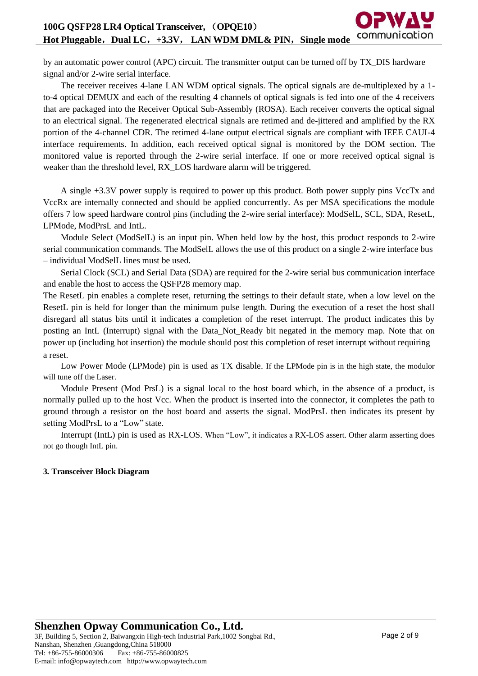by an automatic power control (APC) circuit. The transmitter output can be turned off by TX\_DIS hardware signal and/or 2-wire serial interface.

The receiver receives 4-lane LAN WDM optical signals. The optical signals are de-multiplexed by a 1 to-4 optical DEMUX and each of the resulting 4 channels of optical signals is fed into one of the 4 receivers that are packaged into the Receiver Optical Sub-Assembly (ROSA). Each receiver converts the optical signal to an electrical signal. The regenerated electrical signals are retimed and de-jittered and amplified by the RX portion of the 4-channel CDR. The retimed 4-lane output electrical signals are compliant with IEEE CAUI-4 interface requirements. In addition, each received optical signal is monitored by the DOM section. The monitored value is reported through the 2-wire serial interface. If one or more received optical signal is weaker than the threshold level, RX LOS hardware alarm will be triggered.

A single +3.3V power supply is required to power up this product. Both power supply pins VccTx and VccRx are internally connected and should be applied concurrently. As per MSA specifications the module offers 7 low speed hardware control pins (including the 2-wire serial interface): ModSelL, SCL, SDA, ResetL, LPMode, ModPrsL and IntL.

Module Select (ModSelL) is an input pin. When held low by the host, this product responds to 2-wire serial communication commands. The ModSelL allows the use of this product on a single 2-wire interface bus – individual ModSelL lines must be used.

Serial Clock (SCL) and Serial Data (SDA) are required for the 2-wire serial bus communication interface and enable the host to access the QSFP28 memory map.

The ResetL pin enables a complete reset, returning the settings to their default state, when a low level on the ResetL pin is held for longer than the minimum pulse length. During the execution of a reset the host shall disregard all status bits until it indicates a completion of the reset interrupt. The product indicates this by posting an IntL (Interrupt) signal with the Data\_Not\_Ready bit negated in the memory map. Note that on power up (including hot insertion) the module should post this completion of reset interrupt without requiring a reset.

Low Power Mode (LPMode) pin is used as TX disable. If the LPMode pin is in the high state, the modulor will tune off the Laser.

Module Present (Mod PrsL) is a signal local to the host board which, in the absence of a product, is normally pulled up to the host Vcc. When the product is inserted into the connector, it completes the path to ground through a resistor on the host board and asserts the signal. ModPrsL then indicates its present by setting ModPrsL to a "Low" state.

Interrupt (IntL) pin is used as RX-LOS. When "Low", it indicates a RX-LOS assert. Other alarm asserting does not go though IntL pin.

### **3. Transceiver Block Diagram**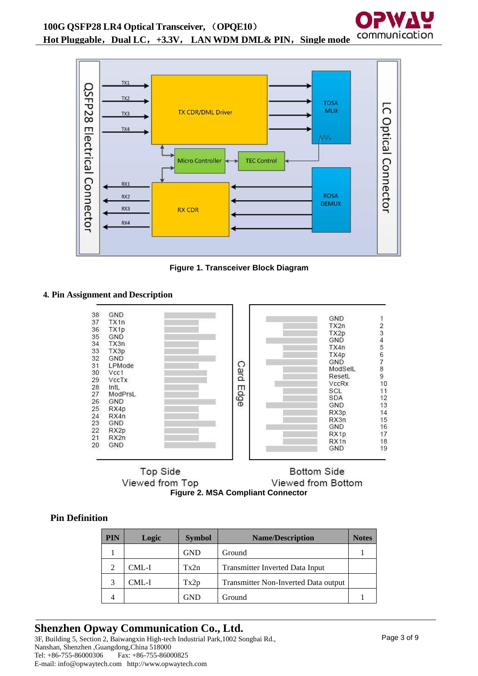**Hot Pluggable**,**Dual LC**,**+3.3V**, **LAN WDM DML& PIN**,**Single mode**



**Figure 1. Transceiver Block Diagram**

## **4. Pin Assignment and Description**



Top Side **Bottom Side** Viewed from Top Viewed from Bottom **Figure 2. MSA Compliant Connector**

## **Pin Definition**

| <b>PIN</b> | Logic | <b>Symbol</b> | <b>Name/Description</b>                | <b>Notes</b> |
|------------|-------|---------------|----------------------------------------|--------------|
|            |       | <b>GND</b>    | Ground                                 |              |
| 2          | CML-I | Tx2n          | <b>Transmitter Inverted Data Input</b> |              |
|            | CML-I | Tx2p          | Transmitter Non-Inverted Data output   |              |
|            |       | GND           | Ground                                 |              |

## **Shenzhen Opway Communication Co., Ltd.**

3F, Building 5, Section 2, Baiwangxin High-tech Industrial Park,1002 Songbai Rd., Nanshan, Shenzhen ,Guangdong,China 518000 Tel: +86-755-86000306 Fax: +86-755-86000825 E-mail: info@opwaytech.com http://www.opwaytech.com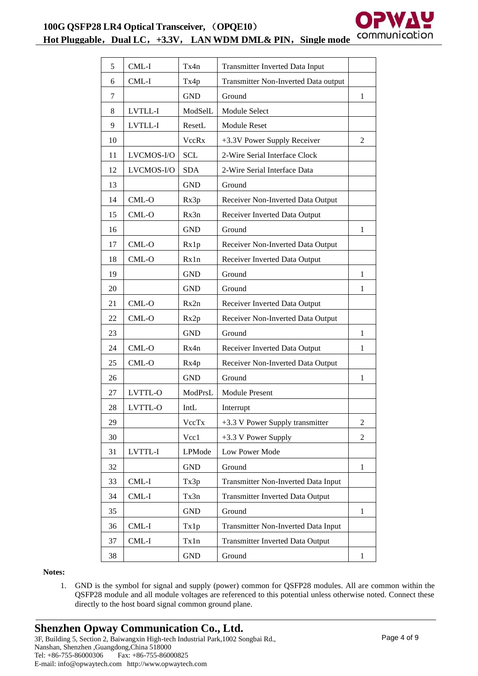

**Hot Pluggable**,**Dual LC**,**+3.3V**, **LAN WDM DML& PIN**,**Single mode**

| 5  | CML-I      | Tx4n       | Transmitter Inverted Data Input         |                |
|----|------------|------------|-----------------------------------------|----------------|
| 6  | CML-I      | Tx4p       | Transmitter Non-Inverted Data output    |                |
| 7  |            | <b>GND</b> | Ground                                  | $\mathbf{1}$   |
| 8  | LVTLL-I    | ModSelL    | Module Select                           |                |
| 9  | LVTLL-I    | ResetL     | <b>Module Reset</b>                     |                |
| 10 |            | VccRx      | +3.3V Power Supply Receiver             | 2              |
| 11 | LVCMOS-I/O | <b>SCL</b> | 2-Wire Serial Interface Clock           |                |
| 12 | LVCMOS-I/O | <b>SDA</b> | 2-Wire Serial Interface Data            |                |
| 13 |            | <b>GND</b> | Ground                                  |                |
| 14 | CML-O      | Rx3p       | Receiver Non-Inverted Data Output       |                |
| 15 | CML-O      | Rx3n       | Receiver Inverted Data Output           |                |
| 16 |            | <b>GND</b> | Ground                                  | $\mathbf{1}$   |
| 17 | CML-O      | Rx1p       | Receiver Non-Inverted Data Output       |                |
| 18 | CML-O      | Rx1n       | Receiver Inverted Data Output           |                |
| 19 |            | <b>GND</b> | Ground                                  | $\mathbf{1}$   |
| 20 |            | <b>GND</b> | Ground                                  | 1              |
| 21 | CML-O      | Rx2n       | Receiver Inverted Data Output           |                |
| 22 | CML-O      | Rx2p       | Receiver Non-Inverted Data Output       |                |
| 23 |            | <b>GND</b> | Ground                                  | 1              |
| 24 | CML-O      | Rx4n       | Receiver Inverted Data Output           | $\mathbf{1}$   |
| 25 | CML-O      | Rx4p       | Receiver Non-Inverted Data Output       |                |
| 26 |            | <b>GND</b> | Ground                                  | $\mathbf{1}$   |
| 27 | LVTTL-O    | ModPrsL    | <b>Module Present</b>                   |                |
| 28 | LVTTL-O    | IntL       | Interrupt                               |                |
| 29 |            | VccTx      | +3.3 V Power Supply transmitter         | 2              |
| 30 |            | Vcc1       | +3.3 V Power Supply                     | $\overline{2}$ |
| 31 | LVTTL-I    | LPMode     | Low Power Mode                          |                |
| 32 |            | <b>GND</b> | Ground                                  | $\mathbf{1}$   |
| 33 | CML-I      | Tx3p       | Transmitter Non-Inverted Data Input     |                |
| 34 | CML-I      | Tx3n       | <b>Transmitter Inverted Data Output</b> |                |
| 35 |            | <b>GND</b> | Ground                                  | 1              |
| 36 | CML-I      | Tx1p       | Transmitter Non-Inverted Data Input     |                |
| 37 | $CML-I$    | Tx1n       | Transmitter Inverted Data Output        |                |
| 38 |            | <b>GND</b> | Ground                                  | $\mathbf{1}$   |

**Notes:**

1. GND is the symbol for signal and supply (power) common for QSFP28 modules. All are common within the QSFP28 module and all module voltages are referenced to this potential unless otherwise noted. Connect these directly to the host board signal common ground plane.

E-mail: info@opwaytech.com http://www.opwaytech.com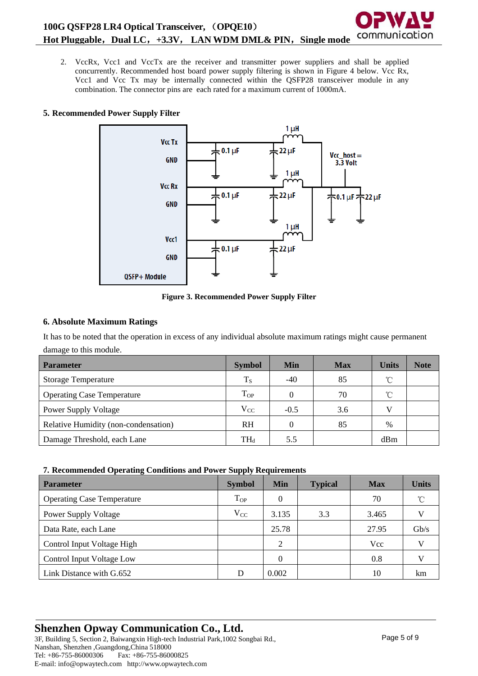2. VccRx, Vcc1 and VccTx are the receiver and transmitter power suppliers and shall be applied concurrently. Recommended host board power supply filtering is shown in Figure 4 below. Vcc Rx, Vcc1 and Vcc Tx may be internally connected within the QSFP28 transceiver module in any combination. The connector pins are each rated for a maximum current of 1000mA.

## **5. Recommended Power Supply Filter**



**Figure 3. Recommended Power Supply Filter**

## **6. Absolute Maximum Ratings**

It has to be noted that the operation in excess of any individual absolute maximum ratings might cause permanent damage to this module.

| <b>Parameter</b>                     | <b>Symbol</b> | Min    | <b>Max</b> | <b>Units</b> | <b>Note</b> |
|--------------------------------------|---------------|--------|------------|--------------|-------------|
| <b>Storage Temperature</b>           | $T_S$         | $-40$  | 85         | $^{\circ}$ C |             |
| <b>Operating Case Temperature</b>    | $T_{OP}$      |        | 70         | $^{\circ}$ C |             |
| <b>Power Supply Voltage</b>          | $V_{CC}$      | $-0.5$ | 3.6        | V            |             |
| Relative Humidity (non-condensation) | <b>RH</b>     |        | 85         | $\%$         |             |
| Damage Threshold, each Lane          | $TH_d$        | 5.5    |            | dBm          |             |

## **7. Recommended Operating Conditions and Power Supply Requirements**

| <b>Parameter</b>                  | <b>Symbol</b> | Min   | <b>Typical</b> | <b>Max</b> | <b>Units</b> |
|-----------------------------------|---------------|-------|----------------|------------|--------------|
| <b>Operating Case Temperature</b> | $T_{OP}$      | 0     |                | 70         | $\hat{C}$    |
| <b>Power Supply Voltage</b>       | $V_{CC}$      | 3.135 | 3.3            | 3.465      |              |
| Data Rate, each Lane              |               | 25.78 |                | 27.95      | Gb/s         |
| Control Input Voltage High        |               | 2     |                | Vcc        |              |
| Control Input Voltage Low         |               | 0     |                | 0.8        |              |
| Link Distance with G.652          | D             | 0.002 |                | 10         | km           |

#### **Shenzhen Opway Communication Co., Ltd.** 3F, Building 5, Section 2, Baiwangxin High-tech Industrial Park,1002 Songbai Rd., Nanshan, Shenzhen ,Guangdong,China 518000

Tel: +86-755-86000306 Fax: +86-755-86000825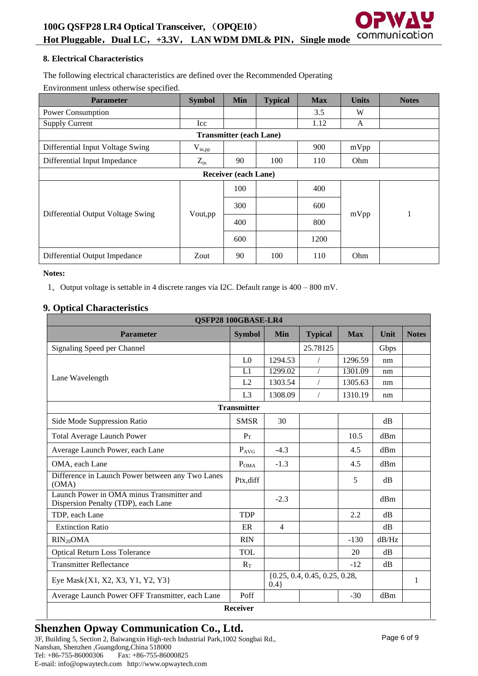**100G QSFP28 LR4 Optical Transceiver,** (**OPQE10**)

communication **Hot Pluggable**,**Dual LC**,**+3.3V**, **LAN WDM DML& PIN**,**Single mode**

### **8. Electrical Characteristics**

The following electrical characteristics are defined over the Recommended Operating Environment unless otherwise specified.

| <b>Parameter</b>                  | <b>Symbol</b> | <b>Min</b>                     | <b>Typical</b> | <b>Max</b> | <b>Units</b> | <b>Notes</b> |  |  |
|-----------------------------------|---------------|--------------------------------|----------------|------------|--------------|--------------|--|--|
| Power Consumption                 |               |                                |                | 3.5        | W            |              |  |  |
| <b>Supply Current</b>             | Icc           |                                |                | 1.12       | A            |              |  |  |
|                                   |               | <b>Transmitter (each Lane)</b> |                |            |              |              |  |  |
| Differential Input Voltage Swing  | $V_{in,pp}$   |                                |                | 900        | mVpp         |              |  |  |
| Differential Input Impedance      | $Z_{\rm in}$  | 90                             | 100            | 110        | Ohm          |              |  |  |
| <b>Receiver (each Lane)</b>       |               |                                |                |            |              |              |  |  |
|                                   |               | 100                            |                | 400        |              |              |  |  |
|                                   |               | 300                            |                | 600        |              |              |  |  |
| Differential Output Voltage Swing | Vout, pp      | 400                            |                | 800        | mVpp         | -1           |  |  |
|                                   |               | 600                            |                | 1200       |              |              |  |  |
| Differential Output Impedance     | Zout          | 90                             | 100            | 110        | Ohm          |              |  |  |

#### **Notes:**

1、Output voltage is settable in 4 discrete ranges via I2C. Default range is 400 – 800 mV.

## **9. Optical Characteristics**

| QSFP28 100GBASE-LR4                                                              |                    |                                             |                |            |              |              |
|----------------------------------------------------------------------------------|--------------------|---------------------------------------------|----------------|------------|--------------|--------------|
| <b>Parameter</b>                                                                 | <b>Symbol</b>      | <b>Min</b>                                  | <b>Typical</b> | <b>Max</b> | Unit         | <b>Notes</b> |
| Signaling Speed per Channel                                                      |                    |                                             | 25.78125       |            | Gbps         |              |
|                                                                                  | L <sub>0</sub>     | 1294.53                                     |                | 1296.59    | nm           |              |
|                                                                                  | L1                 | 1299.02                                     |                | 1301.09    | nm           |              |
| Lane Wavelength                                                                  | L2                 | 1303.54                                     | $\sqrt{2}$     | 1305.63    | nm           |              |
|                                                                                  | L <sub>3</sub>     | 1308.09                                     | $\sqrt{2}$     | 1310.19    | nm           |              |
|                                                                                  | <b>Transmitter</b> |                                             |                |            |              |              |
| Side Mode Suppression Ratio                                                      | <b>SMSR</b>        | 30                                          |                |            | dB           |              |
| <b>Total Average Launch Power</b>                                                | $P_T$              |                                             |                | 10.5       | dBm          |              |
| Average Launch Power, each Lane                                                  | $P_{AVG}$          | $-4.3$                                      |                | 4.5        | dBm          |              |
| OMA, each Lane                                                                   | $P_{OMA}$          | $-1.3$                                      |                | 4.5        | dBm          |              |
| Difference in Launch Power between any Two Lanes<br>(OMA)                        | Ptx, diff          |                                             |                | 5          | dB           |              |
| Launch Power in OMA minus Transmitter and<br>Dispersion Penalty (TDP), each Lane |                    | $-2.3$                                      |                |            | dRm          |              |
| TDP, each Lane                                                                   | <b>TDP</b>         |                                             |                | 2.2        | dB           |              |
| <b>Extinction Ratio</b>                                                          | ER                 | $\overline{4}$                              |                |            | dB           |              |
| $RIN_{20}OMA$                                                                    | <b>RIN</b>         |                                             |                | $-130$     | dB/Hz        |              |
| <b>Optical Return Loss Tolerance</b>                                             | <b>TOL</b>         |                                             |                | 20         | dB           |              |
| <b>Transmitter Reflectance</b>                                                   | $R_T$              |                                             |                | $-12$      | dB           |              |
| Eye Mask{X1, X2, X3, Y1, Y2, Y3}                                                 |                    | $\{0.25, 0.4, 0.45, 0.25, 0.28,$<br>$0.4$ } |                |            | $\mathbf{1}$ |              |
| Average Launch Power OFF Transmitter, each Lane                                  | Poff               |                                             |                | $-30$      | dBm          |              |
| Receiver                                                                         |                    |                                             |                |            |              |              |

## **Shenzhen Opway Communication Co., Ltd.**

3F, Building 5, Section 2, Baiwangxin High-tech Industrial Park,1002 Songbai Rd., Nanshan, Shenzhen ,Guangdong,China 518000 Tel: +86-755-86000306 Fax: +86-755-86000825 E-mail: info@opwaytech.com http://www.opwaytech.com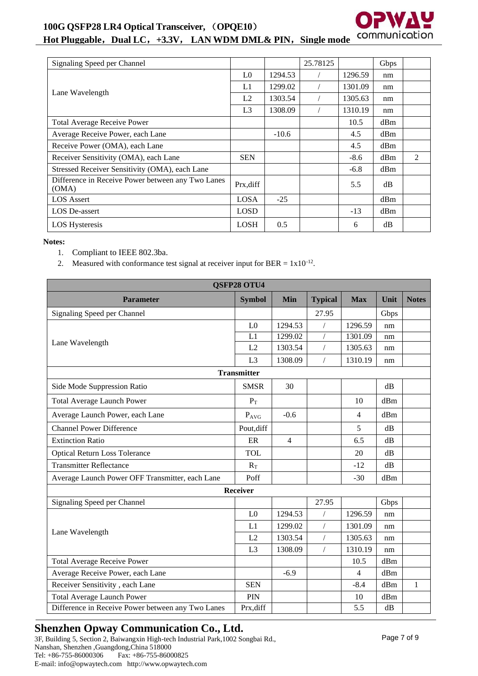## **100G QSFP28 LR4 Optical Transceiver,** (**OPQE10**)



## **Hot Pluggable**,**Dual LC**,**+3.3V**, **LAN WDM DML& PIN**,**Single mode**

| Signaling Speed per Channel                                |                |         | 25.78125 |         | Gbps |   |
|------------------------------------------------------------|----------------|---------|----------|---------|------|---|
|                                                            | L <sub>0</sub> | 1294.53 |          | 1296.59 | nm   |   |
|                                                            | L1             | 1299.02 |          | 1301.09 | nm   |   |
| Lane Wavelength                                            | L2             | 1303.54 |          | 1305.63 | nm   |   |
|                                                            | L <sub>3</sub> | 1308.09 |          | 1310.19 | nm   |   |
| <b>Total Average Receive Power</b>                         |                |         |          | 10.5    | dBm  |   |
| Average Receive Power, each Lane                           |                | $-10.6$ |          | 4.5     | dBm  |   |
| Receive Power (OMA), each Lane                             |                |         |          | 4.5     | dBm  |   |
| Receiver Sensitivity (OMA), each Lane                      | <b>SEN</b>     |         |          | $-8.6$  | dBm  | 2 |
| Stressed Receiver Sensitivity (OMA), each Lane             |                |         |          | $-6.8$  | dBm  |   |
| Difference in Receive Power between any Two Lanes<br>(OMA) | Prx, diff      |         |          | 5.5     | dB   |   |
| <b>LOS</b> Assert                                          | <b>LOSA</b>    | $-25$   |          |         | dBm  |   |
| LOS De-assert                                              | <b>LOSD</b>    |         |          | $-13$   | dBm  |   |
| <b>LOS Hysteresis</b>                                      | <b>LOSH</b>    | 0.5     |          | 6       | dB   |   |

#### **Notes:**

- 1. Compliant to IEEE 802.3ba.
- 2. Measured with conformance test signal at receiver input for BER =  $1x10^{-12}$ .

| <b>QSFP28 OTU4</b>                                |                    |                |                |                |      |              |
|---------------------------------------------------|--------------------|----------------|----------------|----------------|------|--------------|
| <b>Parameter</b>                                  | <b>Symbol</b>      | Min            | <b>Typical</b> | <b>Max</b>     | Unit | <b>Notes</b> |
| Signaling Speed per Channel                       |                    |                | 27.95          |                | Gbps |              |
|                                                   | L <sub>0</sub>     | 1294.53        | $\sqrt{2}$     | 1296.59        | nm   |              |
|                                                   | L1                 | 1299.02        |                | 1301.09        | nm   |              |
| Lane Wavelength                                   | L2                 | 1303.54        | $\sqrt{2}$     | 1305.63        | nm   |              |
|                                                   | L <sub>3</sub>     | 1308.09        |                | 1310.19        | nm   |              |
|                                                   | <b>Transmitter</b> |                |                |                |      |              |
| Side Mode Suppression Ratio                       | <b>SMSR</b>        | 30             |                |                | dB   |              |
| <b>Total Average Launch Power</b>                 | $P_T$              |                |                | 10             | dBm  |              |
| Average Launch Power, each Lane                   | $P_{AVG}$          | $-0.6$         |                | $\overline{4}$ | dBm  |              |
| <b>Channel Power Difference</b>                   | Pout, diff         |                |                | 5              | dB   |              |
| <b>Extinction Ratio</b>                           | ER                 | $\overline{4}$ |                | 6.5            | dB   |              |
| <b>Optical Return Loss Tolerance</b>              | <b>TOL</b>         |                |                | 20             | dB   |              |
| <b>Transmitter Reflectance</b>                    | $R_T$              |                |                | $-12$          | dB   |              |
| Average Launch Power OFF Transmitter, each Lane   | Poff               |                |                | $-30$          | dBm  |              |
|                                                   | <b>Receiver</b>    |                |                |                |      |              |
| Signaling Speed per Channel                       |                    |                | 27.95          |                | Gbps |              |
|                                                   | L <sub>0</sub>     | 1294.53        | /              | 1296.59        | nm   |              |
| Lane Wavelength                                   | L1                 | 1299.02        | $\sqrt{2}$     | 1301.09        | nm   |              |
|                                                   | L2                 | 1303.54        | $\sqrt{2}$     | 1305.63        | nm   |              |
|                                                   | L <sub>3</sub>     | 1308.09        | $\sqrt{2}$     | 1310.19        | nm   |              |
| <b>Total Average Receive Power</b>                |                    |                |                | 10.5           | dBm  |              |
| Average Receive Power, each Lane                  |                    | $-6.9$         |                | $\overline{4}$ | dBm  |              |
| Receiver Sensitivity, each Lane                   | <b>SEN</b>         |                |                | $-8.4$         | dBm  | $\mathbf{1}$ |
| <b>Total Average Launch Power</b>                 | PIN                |                |                | 10             | dBm  |              |
| Difference in Receive Power between any Two Lanes | Prx, diff          |                |                | 5.5            | dB   |              |

## **Shenzhen Opway Communication Co., Ltd.**

3F, Building 5, Section 2, Baiwangxin High-tech Industrial Park,1002 Songbai Rd., Nanshan, Shenzhen ,Guangdong,China 518000 Fax: +86-755-86000825 E-mail: info@opwaytech.com http://www.opwaytech.com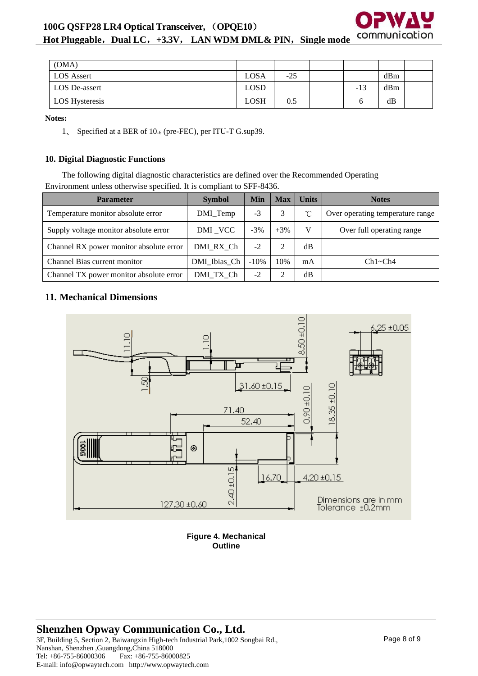

**Hot Pluggable**,**Dual LC**,**+3.3V**, **LAN WDM DML& PIN**,**Single mode**

| (OMA)                |      |       |       |     |  |
|----------------------|------|-------|-------|-----|--|
| <b>LOS Assert</b>    | LOSA | $-25$ |       | dBm |  |
| <b>LOS</b> De-assert | LOSD |       | $-13$ | dBm |  |
| LOS Hysteresis       | LOSH | 0.5   |       | dB  |  |

**Notes:**

1、 Specified at a BER of 10-6 (pre-FEC), per ITU-T G.sup39.

## **10. Digital Diagnostic Functions**

The following digital diagnostic characteristics are defined over the Recommended Operating Environment unless otherwise specified. It is compliant to SFF-8436.

| <b>Parameter</b>                        | <b>Symbol</b> | Min     | <b>Max</b> | <b>Units</b> | <b>Notes</b>                     |
|-----------------------------------------|---------------|---------|------------|--------------|----------------------------------|
| Temperature monitor absolute error      | DMI_Temp      | -3      |            | $^{\circ}$ C | Over operating temperature range |
| Supply voltage monitor absolute error   | DMI_VCC       | $-3%$   | $+3%$      | v            | Over full operating range        |
| Channel RX power monitor absolute error | DMI RX Ch     | $-2$    |            | dB           |                                  |
| Channel Bias current monitor            | DMI Ibias Ch  | $-10\%$ | 10%        | mA           | Ch1~Ch4                          |
| Channel TX power monitor absolute error | DMI TX Ch     | $-2$    |            | dB           |                                  |

## **11. Mechanical Dimensions**



**Figure 4. Mechanical Outline**

# **Shenzhen Opway Communication Co., Ltd.**

3F, Building 5, Section 2, Baiwangxin High-tech Industrial Park,1002 Songbai Rd., Nanshan, Shenzhen ,Guangdong,China 518000 Fax: +86-755-86000825 E-mail: info@opwaytech.com http://www.opwaytech.com